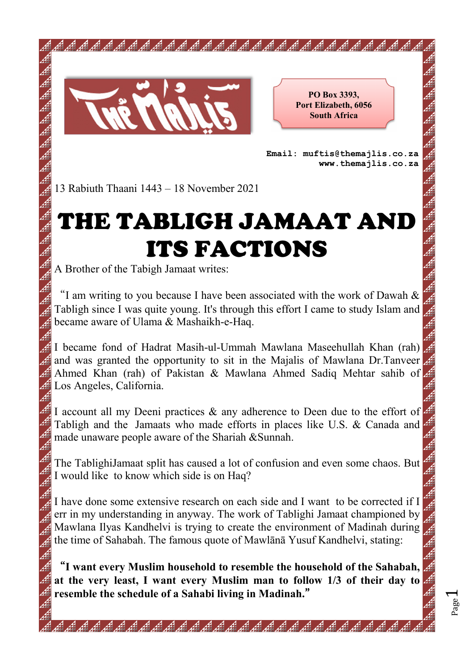

**PO Box 3393, Port Elizabeth, 6056 South Africa** 

**Email: muftis@themajlis.co.za www.themajlis.co.za** 

13 Rabiuth Thaani 1443 – 18 November 2021

## THE TABLIGH JAMAAT AND ITS FACTIONS

A Brother of the Tabigh Jamaat writes:

"I am writing to you because I have been associated with the work of Dawah & Tabligh since I was quite young. It's through this effort I came to study Islam and became aware of Ulama & Mashaikh-e-Haq.

I became fond of Hadrat Masih-ul-Ummah Mawlana Maseehullah Khan (rah) and was granted the opportunity to sit in the Majalis of Mawlana Dr.Tanveer Ahmed Khan (rah) of Pakistan & Mawlana Ahmed Sadiq Mehtar sahib of Los Angeles, California.

I account all my Deeni practices & any adherence to Deen due to the effort of Tabligh and the Jamaats who made efforts in places like U.S. & Canada and made unaware people aware of the Shariah &Sunnah.

The TablighiJamaat split has caused a lot of confusion and even some chaos. But I would like to know which side is on Haq?

I have done some extensive research on each side and I want to be corrected if I err in my understanding in anyway. The work of Tablighi Jamaat championed by Mawlana Ilyas Kandhelvi is trying to create the environment of Madinah during the time of Sahabah. The famous quote of Mawlānā Yusuf Kandhelvi, stating:

"**I want every Muslim household to resemble the household of the Sahabah, at the very least, I want every Muslim man to follow 1/3 of their day to resemble the schedule of a Sahabi living in Madinah.**"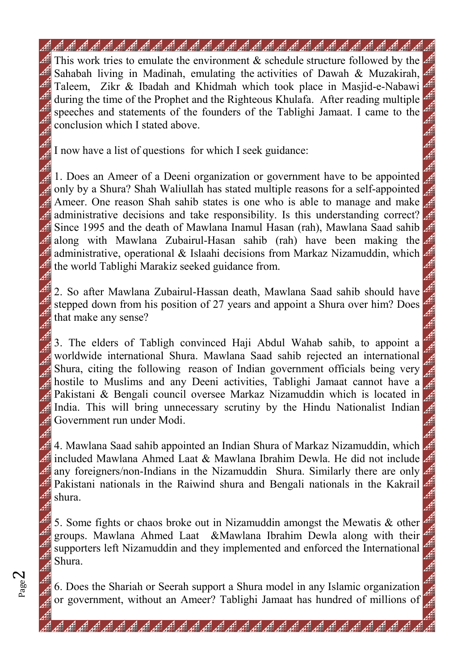## 

This work tries to emulate the environment & schedule structure followed by the Sahabah living in Madinah, emulating the activities of Dawah & Muzakirah, Taleem, Zikr & Ibadah and Khidmah which took place in Masjid-e-Nabawi during the time of the Prophet and the Righteous Khulafa. After reading multiple speeches and statements of the founders of the Tablighi Jamaat. I came to the conclusion which I stated above.

I now have a list of questions for which I seek guidance:

1. Does an Ameer of a Deeni organization or government have to be appointed only by a Shura? Shah Waliullah has stated multiple reasons for a self-appointed Ameer. One reason Shah sahib states is one who is able to manage and make  $\#$  administrative decisions and take responsibility. Is this understanding correct? Since 1995 and the death of Mawlana Inamul Hasan (rah), Mawlana Saad sahib along with Mawlana Zubairul-Hasan sahib (rah) have been making the **J** administrative, operational & Islaahi decisions from Markaz Nizamuddin, which the world Tablighi Marakiz seeked guidance from.

2. So after Mawlana Zubairul-Hassan death, Mawlana Saad sahib should have stepped down from his position of 27 years and appoint a Shura over him? Does that make any sense?

3. The elders of Tabligh convinced Haji Abdul Wahab sahib, to appoint a worldwide international Shura. Mawlana Saad sahib rejected an international Shura, citing the following reason of Indian government officials being very hostile to Muslims and any Deeni activities, Tablighi Jamaat cannot have a Pakistani & Bengali council oversee Markaz Nizamuddin which is located in India. This will bring unnecessary scrutiny by the Hindu Nationalist Indian Government run under Modi.

4. Mawlana Saad sahib appointed an Indian Shura of Markaz Nizamuddin, which included Mawlana Ahmed Laat & Mawlana Ibrahim Dewla. He did not include any foreigners/non-Indians in the Nizamuddin Shura. Similarly there are only Pakistani nationals in the Raiwind shura and Bengali nationals in the Kakrail shura.

5. Some fights or chaos broke out in Nizamuddin amongst the Mewatis & other groups. Mawlana Ahmed Laat &Mawlana Ibrahim Dewla along with their supporters left Nizamuddin and they implemented and enforced the International Shura.

6. Does the Shariah or Seerah support a Shura model in any Islamic organization or government, without an Ameer? Tablighi Jamaat has hundred of millions of

فَقِيدٍ فَقِيدٍ فَقِيدٍ فَقِيدٍ فَقِيدٍ فَقِيدٍ فَقِيدٍ فَقِيدٍ فَقِيدٍ فَقِيدٍ فَقِيدٍ فَقِيدٍ فَقِيدٍ فَقِيدٍ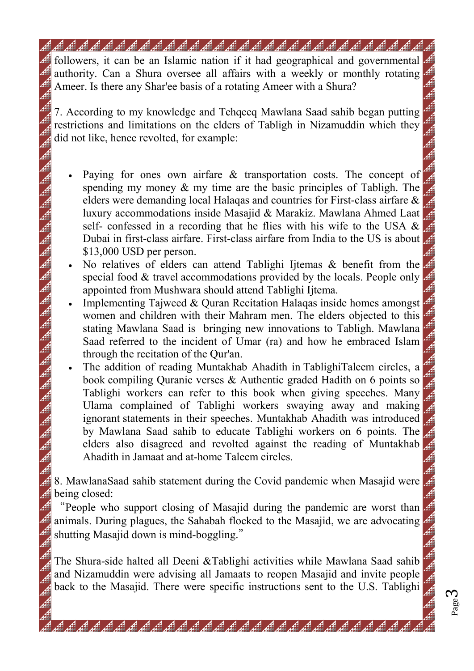## 

followers, it can be an Islamic nation if it had geographical and governmental authority. Can a Shura oversee all affairs with a weekly or monthly rotating Ameer. Is there any Shar'ee basis of a rotating Ameer with a Shura?

7. According to my knowledge and Tehqeeq Mawlana Saad sahib began putting restrictions and limitations on the elders of Tabligh in Nizamuddin which they did not like, hence revolted, for example:

- Paying for ones own airfare & transportation costs. The concept of spending my money & my time are the basic principles of Tabligh. The elders were demanding local Halaqas and countries for First-class airfare & luxury accommodations inside Masajid & Marakiz. Mawlana Ahmed Laat self- confessed in a recording that he flies with his wife to the USA  $\&$ Dubai in first-class airfare. First-class airfare from India to the US is about \$13,000 USD per person.
- No relatives of elders can attend Tablighi Ijtemas & benefit from the special food & travel accommodations provided by the locals. People only appointed from Mushwara should attend Tablighi Ijtema.
- Implementing Tajweed & Quran Recitation Halaqas inside homes amongst women and children with their Mahram men. The elders objected to this stating Mawlana Saad is bringing new innovations to Tabligh. Mawlana Saad referred to the incident of Umar (ra) and how he embraced Islam through the recitation of the Qur'an.

• The addition of reading Muntakhab Ahadith in TablighiTaleem circles, a book compiling Quranic verses & Authentic graded Hadith on 6 points so Tablighi workers can refer to this book when giving speeches. Many Ulama complained of Tablighi workers swaying away and making ignorant statements in their speeches. Muntakhab Ahadith was introduced by Mawlana Saad sahib to educate Tablighi workers on 6 points. The elders also disagreed and revolted against the reading of Muntakhab Ahadith in Jamaat and at-home Taleem circles.

8. MawlanaSaad sahib statement during the Covid pandemic when Masajid were **being closed:** 

"People who support closing of Masajid during the pandemic are worst than animals. During plagues, the Sahabah flocked to the Masajid, we are advocating shutting Masajid down is mind-boggling."

The Shura-side halted all Deeni &Tablighi activities while Mawlana Saad sahib and Nizamuddin were advising all Jamaats to reopen Masajid and invite people back to the Masajid. There were specific instructions sent to the U.S. Tablighi

维维维维维维维维维维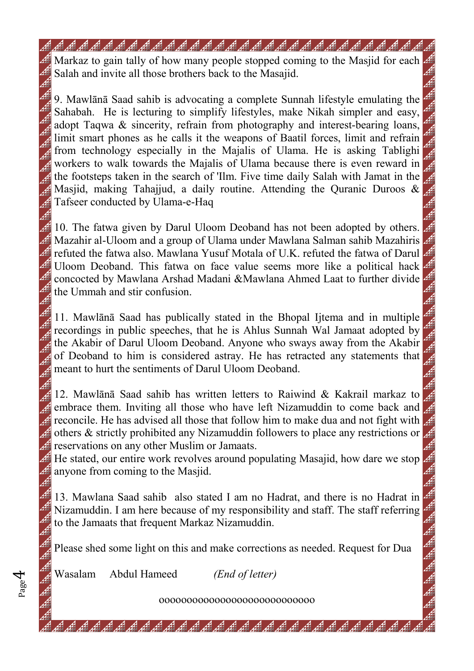9. Mawlānā Saad sahib is advocating a complete Sunnah lifestyle emulating the Sahabah. He is lecturing to simplify lifestyles, make Nikah simpler and easy, adopt Taqwa & sincerity, refrain from photography and interest-bearing loans, limit smart phones as he calls it the weapons of Baatil forces, limit and refrain from technology especially in the Majalis of Ulama. He is asking Tablighi workers to walk towards the Majalis of Ulama because there is even reward in the footsteps taken in the search of 'Ilm. Five time daily Salah with Jamat in the Masjid, making Tahajjud, a daily routine. Attending the Quranic Duroos & Tafseer conducted by Ulama-e-Haq

<sup>1</sup> 10. The fatwa given by Darul Uloom Deoband has not been adopted by others. Mazahir al-Uloom and a group of Ulama under Mawlana Salman sahib Mazahiris refuted the fatwa also. Mawlana Yusuf Motala of U.K. refuted the fatwa of Darul Uloom Deoband. This fatwa on face value seems more like a political hack concocted by Mawlana Arshad Madani &Mawlana Ahmed Laat to further divide the Ummah and stir confusion.

11. Mawlānā Saad has publically stated in the Bhopal Ijtema and in multiple recordings in public speeches, that he is Ahlus Sunnah Wal Jamaat adopted by the Akabir of Darul Uloom Deoband. Anyone who sways away from the Akabir of Deoband to him is considered astray. He has retracted any statements that meant to hurt the sentiments of Darul Uloom Deoband.

12. Mawlānā Saad sahib has written letters to Raiwind & Kakrail markaz to  $\#$  embrace them. Inviting all those who have left Nizamuddin to come back and  $\mathcal{F}$  reconcile. He has advised all those that follow him to make dua and not fight with  $\mathcal{L}$  others & strictly prohibited any Nizamuddin followers to place any restrictions or **F** reservations on any other Muslim or Jamaats.

He stated, our entire work revolves around populating Masajid, how dare we stop anyone from coming to the Masjid.

13. Mawlana Saad sahib also stated I am no Hadrat, and there is no Hadrat in Nizamuddin. I am here because of my responsibility and staff. The staff referring to the Jamaats that frequent Markaz Nizamuddin.

Please shed some light on this and make corrections as needed. Request for Dua

Wasalam Abdul Hameed *(End of letter)* 

Page 4

oooooooooooooooooooooooooooo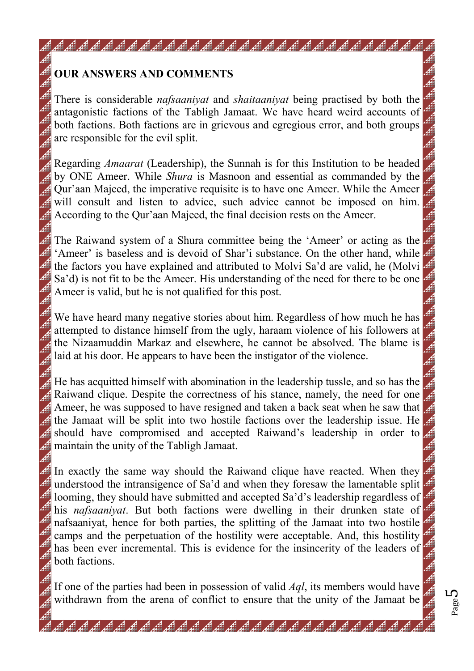## **OUR ANSWERS AND COMMENTS**

- 이번 기업을 가지고 있는 것이다. 그리고 있는 것이 있는 것이 있는 것이 있는 것이다. 그리고 있는 것이다. 그리고 있는 것이다.<br>그리고 있는 것이 있는 것이 있는 것이 있는 것이 있는 것이 있는 것이 있는 것이 있는 것이 있는 것이 있는 것이 있는 것이 있는 것이 있는 것이 있는 것이 있는 것이 있는 것이 있는 것이 있는 것

There is considerable *nafsaaniyat* and *shaitaaniyat* being practised by both the antagonistic factions of the Tabligh Jamaat. We have heard weird accounts of both factions. Both factions are in grievous and egregious error, and both groups are responsible for the evil split.

Regarding *Amaarat* (Leadership), the Sunnah is for this Institution to be headed by ONE Ameer. While *Shura* is Masnoon and essential as commanded by the Qur'aan Majeed, the imperative requisite is to have one Ameer. While the Ameer  $\#$  will consult and listen to advice, such advice cannot be imposed on him.  $\#$  According to the Qur'aan Majeed, the final decision rests on the Ameer.

The Raiwand system of a Shura committee being the 'Ameer' or acting as the 'Ameer' is baseless and is devoid of Shar'i substance. On the other hand, while the factors you have explained and attributed to Molvi Sa'd are valid, he (Molvi Sa'd) is not fit to be the Ameer. His understanding of the need for there to be one Ameer is valid, but he is not qualified for this post.

We have heard many negative stories about him. Regardless of how much he has attempted to distance himself from the ugly, haraam violence of his followers at the Nizaamuddin Markaz and elsewhere, he cannot be absolved. The blame is laid at his door. He appears to have been the instigator of the violence.

He has acquitted himself with abomination in the leadership tussle, and so has the Raiwand clique. Despite the correctness of his stance, namely, the need for one  $\mathcal{A}$  Ameer, he was supposed to have resigned and taken a back seat when he saw that the Jamaat will be split into two hostile factions over the leadership issue. He should have compromised and accepted Raiwand's leadership in order to **Example 1** maintain the unity of the Tabligh Jamaat.

In exactly the same way should the Raiwand clique have reacted. When they understood the intransigence of Sa'd and when they foresaw the lamentable split looming, they should have submitted and accepted Sa'd's leadership regardless of his *nafsaaniyat*. But both factions were dwelling in their drunken state of nafsaaniyat, hence for both parties, the splitting of the Jamaat into two hostile camps and the perpetuation of the hostility were acceptable. And, this hostility has been ever incremental. This is evidence for the insincerity of the leaders of both factions.

If one of the parties had been in possession of valid *Aql*, its members would have withdrawn from the arena of conflict to ensure that the unity of the Jamaat be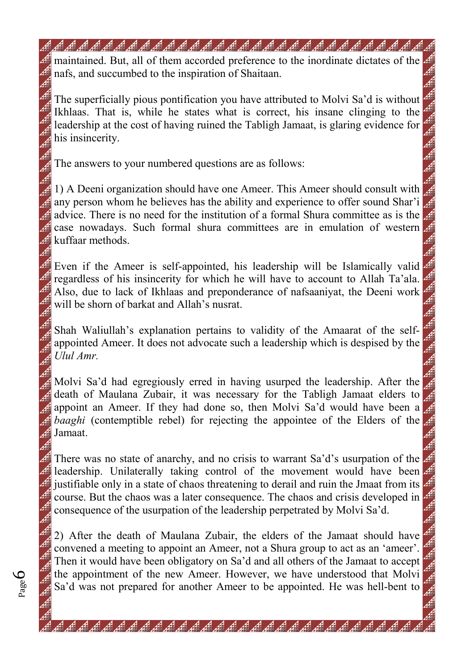maintained. But, all of them accorded preference to the inordinate dictates of the

The superficially pious pontification you have attributed to Molvi Sa'd is without Ikhlaas. That is, while he states what is correct, his insane clinging to the leadership at the cost of having ruined the Tabligh Jamaat, is glaring evidence for his insincerity.

The answers to your numbered questions are as follows:

nafs, and succumbed to the inspiration of Shaitaan.

1) A Deeni organization should have one Ameer. This Ameer should consult with any person whom he believes has the ability and experience to offer sound Shar'i advice. There is no need for the institution of a formal Shura committee as is the case nowadays. Such formal shura committees are in emulation of western kuffaar methods.

Even if the Ameer is self-appointed, his leadership will be Islamically valid regardless of his insincerity for which he will have to account to Allah Ta'ala. Also, due to lack of Ikhlaas and preponderance of nafsaaniyat, the Deeni work will be shorn of barkat and Allah's nusrat.

Shah Waliullah's explanation pertains to validity of the Amaarat of the selfappointed Ameer. It does not advocate such a leadership which is despised by the *Ulul Amr.* 

Molvi Sa'd had egregiously erred in having usurped the leadership. After the death of Maulana Zubair, it was necessary for the Tabligh Jamaat elders to appoint an Ameer. If they had done so, then Molvi Sa'd would have been a *baaghi* (contemptible rebel) for rejecting the appointee of the Elders of the Jamaat.

There was no state of anarchy, and no crisis to warrant Sa'd's usurpation of the leadership. Unilaterally taking control of the movement would have been justifiable only in a state of chaos threatening to derail and ruin the Jmaat from its course. But the chaos was a later consequence. The chaos and crisis developed in consequence of the usurpation of the leadership perpetrated by Molvi Sa'd.

2) After the death of Maulana Zubair, the elders of the Jamaat should have convened a meeting to appoint an Ameer, not a Shura group to act as an 'ameer'. Then it would have been obligatory on Sa'd and all others of the Jamaat to accept the appointment of the new Ameer. However, we have understood that Molvi Sa'd was not prepared for another Ameer to be appointed. He was hell-bent to

Page 6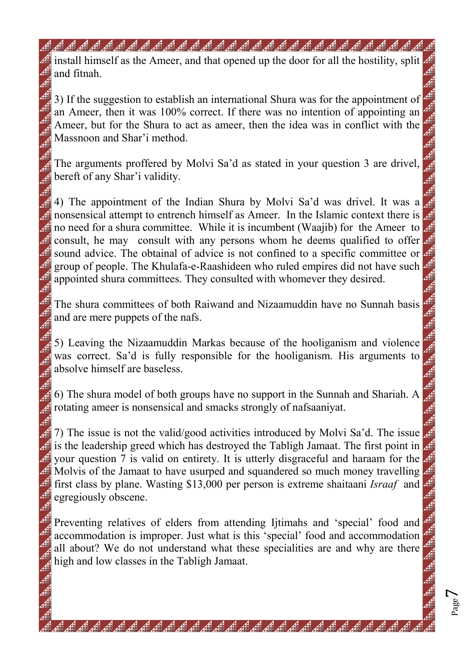install himself as the Ameer, and that opened up the door for all the hostility, split and fitnah.

3) If the suggestion to establish an international Shura was for the appointment of an Ameer, then it was 100% correct. If there was no intention of appointing an Ameer, but for the Shura to act as ameer, then the idea was in conflict with the Massnoon and Shar'i method.

The arguments proffered by Molvi Sa'd as stated in your question 3 are drivel, bereft of any Shar'i validity.

4.4) The appointment of the Indian Shura by Molvi Sa'd was drivel. It was a nonsensical attempt to entrench himself as Ameer. In the Islamic context there is no need for a shura committee. While it is incumbent (Waajib) for the Ameer to consult, he may consult with any persons whom he deems qualified to offer sound advice. The obtainal of advice is not confined to a specific committee or group of people. The Khulafa-e-Raashideen who ruled empires did not have such appointed shura committees. They consulted with whomever they desired.

The shura committees of both Raiwand and Nizaamuddin have no Sunnah basis and are mere puppets of the nafs.

5) Leaving the Nizaamuddin Markas because of the hooliganism and violence was correct. Sa'd is fully responsible for the hooliganism. His arguments to absolve himself are baseless.

6) The shura model of both groups have no support in the Sunnah and Shariah. A rotating ameer is nonsensical and smacks strongly of nafsaaniyat.

7) The issue is not the valid/good activities introduced by Molvi Sa'd. The issue is the leadership greed which has destroyed the Tabligh Jamaat. The first point in your question 7 is valid on entirety. It is utterly disgraceful and haraam for the Molvis of the Jamaat to have usurped and squandered so much money travelling first class by plane. Wasting \$13,000 per person is extreme shaitaani *Israaf* and egregiously obscene.

Preventing relatives of elders from attending Ijtimahs and 'special' food and accommodation is improper. Just what is this 'special' food and accommodation all about? We do not understand what these specialities are and why are there high and low classes in the Tabligh Jamaat.